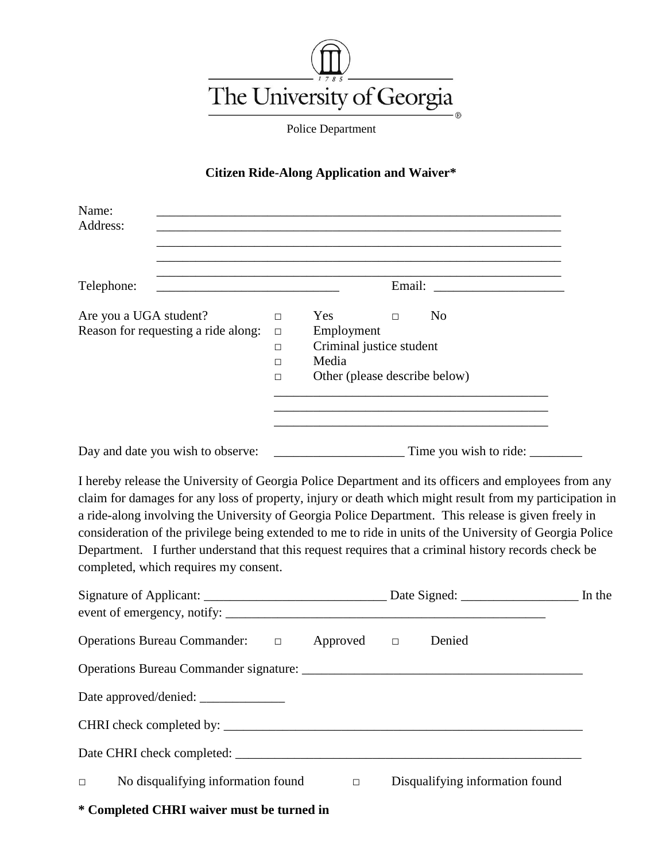

Police Department

## **Citizen Ride-Along Application and Waiver\***

| Name:                                                                                                                                                                                                                                                                                                                                                                                                                                                                                                                                                                               |                                      |                                                                                         |        |                                                                                                                                    |        |
|-------------------------------------------------------------------------------------------------------------------------------------------------------------------------------------------------------------------------------------------------------------------------------------------------------------------------------------------------------------------------------------------------------------------------------------------------------------------------------------------------------------------------------------------------------------------------------------|--------------------------------------|-----------------------------------------------------------------------------------------|--------|------------------------------------------------------------------------------------------------------------------------------------|--------|
| Address:                                                                                                                                                                                                                                                                                                                                                                                                                                                                                                                                                                            |                                      |                                                                                         |        |                                                                                                                                    |        |
|                                                                                                                                                                                                                                                                                                                                                                                                                                                                                                                                                                                     |                                      |                                                                                         |        | ,我们也不能在这里的时候,我们也不能在这里的时候,我们也不能会在这里的时候,我们也不能会在这里的时候,我们也不能会在这里的时候,我们也不能会在这里的时候,我们也不                                                  |        |
| Telephone:<br><u> 1989 - Johann Barn, mars ann an t-Amhain an t-Amhain ann an t-Amhain an t-Amhain an t-Amhain an t-Amhain ann a</u>                                                                                                                                                                                                                                                                                                                                                                                                                                                |                                      |                                                                                         |        |                                                                                                                                    |        |
| Are you a UGA student?<br>Reason for requesting a ride along:                                                                                                                                                                                                                                                                                                                                                                                                                                                                                                                       | $\Box$<br>$\Box$<br>$\Box$<br>□<br>□ | Yes<br>Employment<br>Criminal justice student<br>Media<br>Other (please describe below) | $\Box$ | N <sub>0</sub><br>and the control of the control of the control of the control of the control of the control of the control of the |        |
|                                                                                                                                                                                                                                                                                                                                                                                                                                                                                                                                                                                     |                                      |                                                                                         |        |                                                                                                                                    |        |
| I hereby release the University of Georgia Police Department and its officers and employees from any<br>claim for damages for any loss of property, injury or death which might result from my participation in<br>a ride-along involving the University of Georgia Police Department. This release is given freely in<br>consideration of the privilege being extended to me to ride in units of the University of Georgia Police<br>Department. I further understand that this request requires that a criminal history records check be<br>completed, which requires my consent. |                                      |                                                                                         |        |                                                                                                                                    |        |
|                                                                                                                                                                                                                                                                                                                                                                                                                                                                                                                                                                                     |                                      |                                                                                         |        |                                                                                                                                    | In the |
| Operations Bureau Commander: □                                                                                                                                                                                                                                                                                                                                                                                                                                                                                                                                                      |                                      | Approved $\square$                                                                      |        | Denied                                                                                                                             |        |
|                                                                                                                                                                                                                                                                                                                                                                                                                                                                                                                                                                                     |                                      |                                                                                         |        |                                                                                                                                    |        |
|                                                                                                                                                                                                                                                                                                                                                                                                                                                                                                                                                                                     |                                      |                                                                                         |        |                                                                                                                                    |        |
|                                                                                                                                                                                                                                                                                                                                                                                                                                                                                                                                                                                     |                                      |                                                                                         |        |                                                                                                                                    |        |
|                                                                                                                                                                                                                                                                                                                                                                                                                                                                                                                                                                                     |                                      |                                                                                         |        |                                                                                                                                    |        |
| No disqualifying information found<br>$\Box$                                                                                                                                                                                                                                                                                                                                                                                                                                                                                                                                        |                                      | $\Box$                                                                                  |        | Disqualifying information found                                                                                                    |        |

**\* Completed CHRI waiver must be turned in**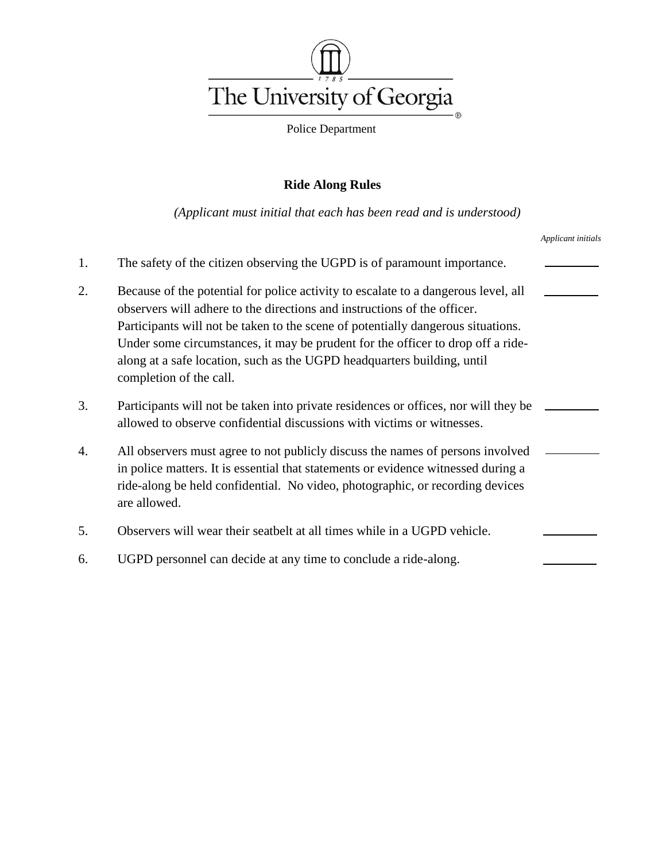

Police Department

### **Ride Along Rules**

*(Applicant must initial that each has been read and is understood)*

|    |                                                                                                                                                                                                                                                                                                                                                                                                                                             | Applicant initials |
|----|---------------------------------------------------------------------------------------------------------------------------------------------------------------------------------------------------------------------------------------------------------------------------------------------------------------------------------------------------------------------------------------------------------------------------------------------|--------------------|
| 1. | The safety of the citizen observing the UGPD is of paramount importance.                                                                                                                                                                                                                                                                                                                                                                    |                    |
| 2. | Because of the potential for police activity to escalate to a dangerous level, all<br>observers will adhere to the directions and instructions of the officer.<br>Participants will not be taken to the scene of potentially dangerous situations.<br>Under some circumstances, it may be prudent for the officer to drop off a ride-<br>along at a safe location, such as the UGPD headquarters building, until<br>completion of the call. |                    |
| 3. | Participants will not be taken into private residences or offices, nor will they be<br>allowed to observe confidential discussions with victims or witnesses.                                                                                                                                                                                                                                                                               |                    |
| 4. | All observers must agree to not publicly discuss the names of persons involved<br>in police matters. It is essential that statements or evidence witnessed during a<br>ride-along be held confidential. No video, photographic, or recording devices<br>are allowed.                                                                                                                                                                        |                    |
| 5. | Observers will wear their seatbelt at all times while in a UGPD vehicle.                                                                                                                                                                                                                                                                                                                                                                    |                    |
| 6. | UGPD personnel can decide at any time to conclude a ride-along.                                                                                                                                                                                                                                                                                                                                                                             |                    |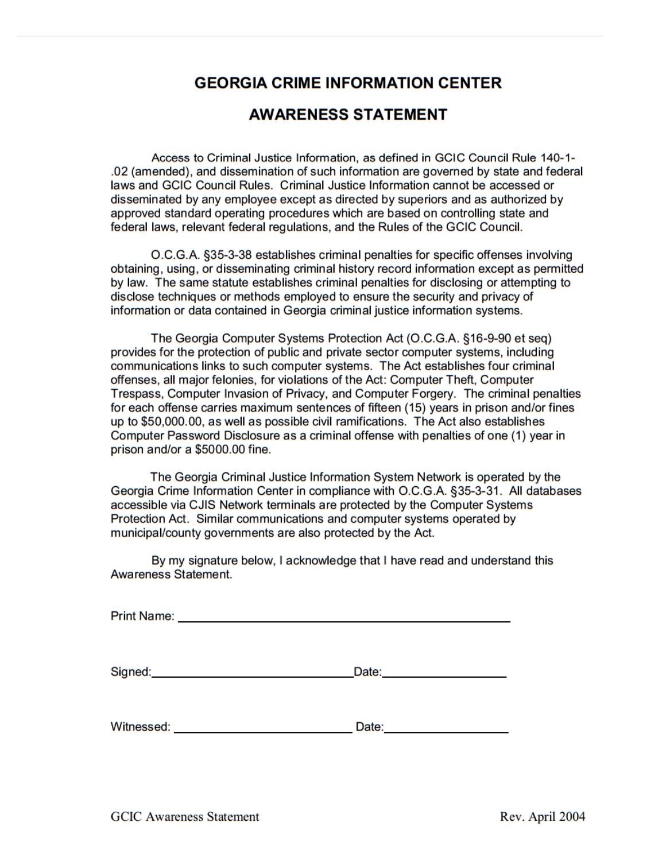# **GEORGIA CRIME INFORMATION CENTER**

# **AWARENESS STATEMENT**

Access to Criminal Justice Information, as defined in GCIC Council Rule 140-1-.02 (amended), and dissemination of such information are governed by state and federal laws and GCIC Council Rules. Criminal Justice Information cannot be accessed or disseminated by any employee except as directed by superiors and as authorized by approved standard operating procedures which are based on controlling state and federal laws, relevant federal regulations, and the Rules of the GCIC Council.

O.C.G.A. §35-3-38 establishes criminal penalties for specific offenses involving obtaining, using, or disseminating criminal history record information except as permitted by law. The same statute establishes criminal penalties for disclosing or attempting to disclose techniques or methods employed to ensure the security and privacy of information or data contained in Georgia criminal justice information systems.

The Georgia Computer Systems Protection Act (O.C.G.A. §16-9-90 et seg) provides for the protection of public and private sector computer systems, including communications links to such computer systems. The Act establishes four criminal offenses, all major felonies, for violations of the Act: Computer Theft, Computer Trespass, Computer Invasion of Privacy, and Computer Forgery. The criminal penalties for each offense carries maximum sentences of fifteen (15) years in prison and/or fines up to \$50,000.00, as well as possible civil ramifications. The Act also establishes Computer Password Disclosure as a criminal offense with penalties of one (1) year in prison and/or a \$5000.00 fine.

The Georgia Criminal Justice Information System Network is operated by the Georgia Crime Information Center in compliance with O.C.G.A. §35-3-31. All databases accessible via CJIS Network terminals are protected by the Computer Systems Protection Act. Similar communications and computer systems operated by municipal/county governments are also protected by the Act.

By my signature below, I acknowledge that I have read and understand this **Awareness Statement.** 

Signed: Date: Date: